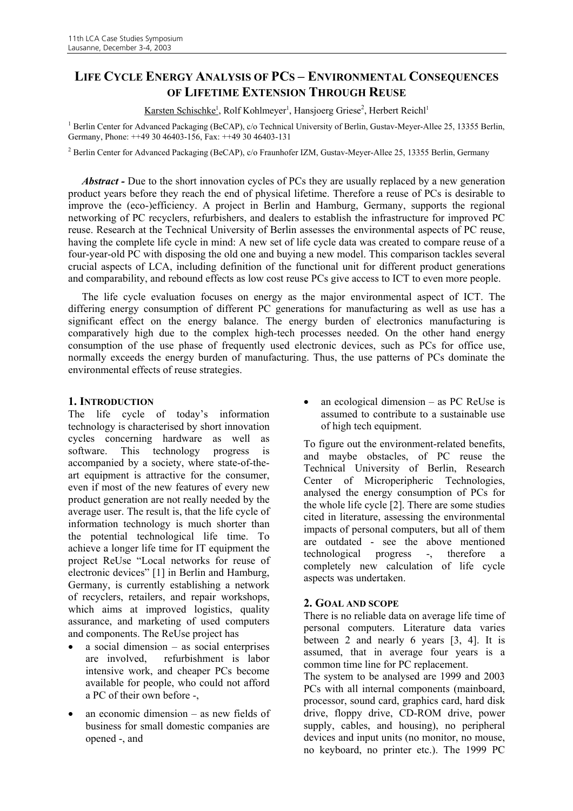# **LIFE CYCLE ENERGY ANALYSIS OF PCS – ENVIRONMENTAL CONSEQUENCES OF LIFETIME EXTENSION THROUGH REUSE**

Karsten Schischke<sup>1</sup>, Rolf Kohlmeyer<sup>1</sup>, Hansjoerg Griese<sup>2</sup>, Herbert Reichl<sup>1</sup>

<sup>1</sup> Berlin Center for Advanced Packaging (BeCAP), c/o Technical University of Berlin, Gustav-Meyer-Allee 25, 13355 Berlin, Germany, Phone: ++49 30 46403-156, Fax: ++49 30 46403-131

<sup>2</sup> Berlin Center for Advanced Packaging (BeCAP), c/o Fraunhofer IZM, Gustav-Meyer-Allee 25, 13355 Berlin, Germany

*Abstract -* Due to the short innovation cycles of PCs they are usually replaced by a new generation product years before they reach the end of physical lifetime. Therefore a reuse of PCs is desirable to improve the (eco-)efficiency. A project in Berlin and Hamburg, Germany, supports the regional networking of PC recyclers, refurbishers, and dealers to establish the infrastructure for improved PC reuse. Research at the Technical University of Berlin assesses the environmental aspects of PC reuse, having the complete life cycle in mind: A new set of life cycle data was created to compare reuse of a four-year-old PC with disposing the old one and buying a new model. This comparison tackles several crucial aspects of LCA, including definition of the functional unit for different product generations and comparability, and rebound effects as low cost reuse PCs give access to ICT to even more people.

The life cycle evaluation focuses on energy as the major environmental aspect of ICT. The differing energy consumption of different PC generations for manufacturing as well as use has a significant effect on the energy balance. The energy burden of electronics manufacturing is comparatively high due to the complex high-tech processes needed. On the other hand energy consumption of the use phase of frequently used electronic devices, such as PCs for office use, normally exceeds the energy burden of manufacturing. Thus, the use patterns of PCs dominate the environmental effects of reuse strategies.

### **1. INTRODUCTION**

The life cycle of today's information technology is characterised by short innovation cycles concerning hardware as well as software. This technology progress is accompanied by a society, where state-of-theart equipment is attractive for the consumer, even if most of the new features of every new product generation are not really needed by the average user. The result is, that the life cycle of information technology is much shorter than the potential technological life time. To achieve a longer life time for IT equipment the project ReUse "Local networks for reuse of electronic devices" [1] in Berlin and Hamburg, Germany, is currently establishing a network of recyclers, retailers, and repair workshops, which aims at improved logistics, quality assurance, and marketing of used computers and components. The ReUse project has

- $a$  social dimension as social enterprises are involved, refurbishment is labor intensive work, and cheaper PCs become available for people, who could not afford a PC of their own before -,
- an economic dimension  $-$  as new fields of business for small domestic companies are opened -, and

• an ecological dimension – as PC ReUse is assumed to contribute to a sustainable use of high tech equipment.

To figure out the environment-related benefits, and maybe obstacles, of PC reuse the Technical University of Berlin, Research Center of Microperipheric Technologies, analysed the energy consumption of PCs for the whole life cycle [2]. There are some studies cited in literature, assessing the environmental impacts of personal computers, but all of them are outdated - see the above mentioned technological progress -, therefore a completely new calculation of life cycle aspects was undertaken.

### **2. GOAL AND SCOPE**

There is no reliable data on average life time of personal computers. Literature data varies between 2 and nearly 6 years [3, 4]. It is assumed, that in average four years is a common time line for PC replacement.

The system to be analysed are 1999 and 2003 PCs with all internal components (mainboard, processor, sound card, graphics card, hard disk drive, floppy drive, CD-ROM drive, power supply, cables, and housing), no peripheral devices and input units (no monitor, no mouse, no keyboard, no printer etc.). The 1999 PC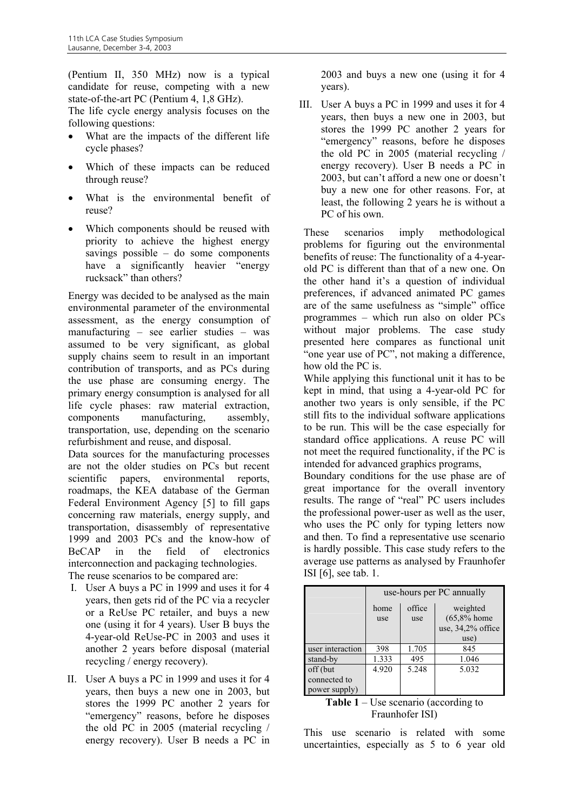(Pentium II, 350 MHz) now is a typical candidate for reuse, competing with a new state-of-the-art PC (Pentium 4, 1,8 GHz).

The life cycle energy analysis focuses on the following questions:

- What are the impacts of the different life cycle phases?
- Which of these impacts can be reduced through reuse?
- What is the environmental benefit of reuse?
- Which components should be reused with priority to achieve the highest energy savings possible – do some components have a significantly heavier "energy rucksack" than others?

Energy was decided to be analysed as the main environmental parameter of the environmental assessment, as the energy consumption of manufacturing – see earlier studies – was assumed to be very significant, as global supply chains seem to result in an important contribution of transports, and as PCs during the use phase are consuming energy. The primary energy consumption is analysed for all life cycle phases: raw material extraction, components manufacturing, assembly, transportation, use, depending on the scenario refurbishment and reuse, and disposal.

Data sources for the manufacturing processes are not the older studies on PCs but recent scientific papers, environmental reports, roadmaps, the KEA database of the German Federal Environment Agency [5] to fill gaps concerning raw materials, energy supply, and transportation, disassembly of representative 1999 and 2003 PCs and the know-how of BeCAP in the field of electronics interconnection and packaging technologies. The reuse scenarios to be compared are:

- I. User A buys a PC in 1999 and uses it for 4 years, then gets rid of the PC via a recycler or a ReUse PC retailer, and buys a new one (using it for 4 years). User B buys the 4-year-old ReUse-PC in 2003 and uses it another 2 years before disposal (material recycling / energy recovery).
- II. User A buys a PC in 1999 and uses it for 4 years, then buys a new one in 2003, but stores the 1999 PC another 2 years for "emergency" reasons, before he disposes the old PC in 2005 (material recycling / energy recovery). User B needs a PC in

2003 and buys a new one (using it for 4 years).

III. User A buys a PC in 1999 and uses it for 4 years, then buys a new one in 2003, but stores the 1999 PC another 2 years for "emergency" reasons, before he disposes the old PC in 2005 (material recycling / energy recovery). User B needs a PC in 2003, but can't afford a new one or doesn't buy a new one for other reasons. For, at least, the following 2 years he is without a PC of his own.

These scenarios imply methodological problems for figuring out the environmental benefits of reuse: The functionality of a 4-yearold PC is different than that of a new one. On the other hand it's a question of individual preferences, if advanced animated PC games are of the same usefulness as "simple" office programmes – which run also on older PCs without major problems. The case study presented here compares as functional unit "one year use of PC", not making a difference, how old the PC is.

While applying this functional unit it has to be kept in mind, that using a 4-year-old PC for another two years is only sensible, if the PC still fits to the individual software applications to be run. This will be the case especially for standard office applications. A reuse PC will not meet the required functionality, if the PC is intended for advanced graphics programs,

Boundary conditions for the use phase are of great importance for the overall inventory results. The range of "real" PC users includes the professional power-user as well as the user, who uses the PC only for typing letters now and then. To find a representative use scenario is hardly possible. This case study refers to the average use patterns as analysed by Fraunhofer ISI [6], see tab. 1.

|                  | use-hours per PC annually |               |                           |
|------------------|---------------------------|---------------|---------------------------|
|                  | home<br>use               | office<br>use | weighted<br>$(65,8%$ home |
|                  |                           |               | use, 34,2% office         |
|                  |                           |               | use)                      |
| user interaction | 398                       | 1.705         | 845                       |
| stand-by         | 1.333                     | 495           | 1.046                     |
| off (but         | 4.920                     | 5.248         | 5.032                     |
| connected to     |                           |               |                           |
| power supply)    |                           |               |                           |

#### **Table 1** – Use scenario (according to Fraunhofer ISI)

This use scenario is related with some uncertainties, especially as 5 to 6 year old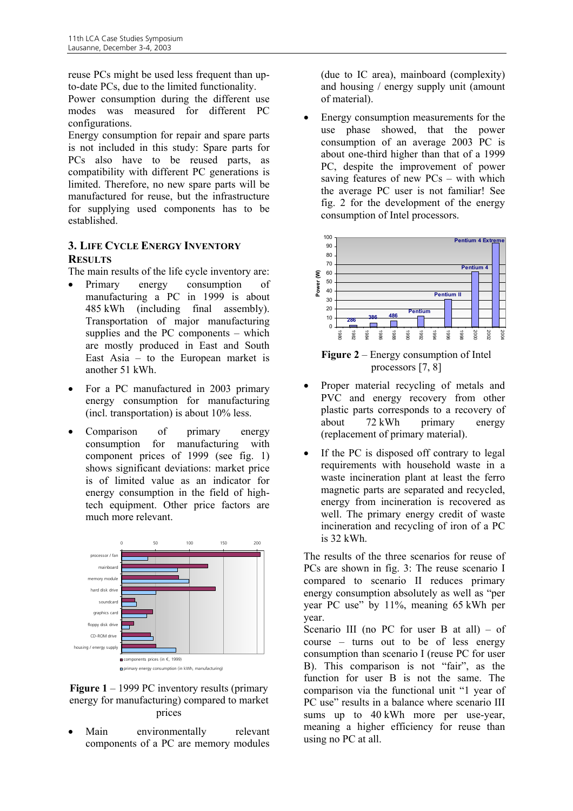reuse PCs might be used less frequent than upto-date PCs, due to the limited functionality.

Power consumption during the different use modes was measured for different PC configurations.

Energy consumption for repair and spare parts is not included in this study: Spare parts for PCs also have to be reused parts, as compatibility with different PC generations is limited. Therefore, no new spare parts will be manufactured for reuse, but the infrastructure for supplying used components has to be established.

## **3. LIFE CYCLE ENERGY INVENTORY RESULTS**

The main results of the life cycle inventory are:

- Primary energy consumption of manufacturing a PC in 1999 is about 485 kWh (including final assembly). Transportation of major manufacturing supplies and the PC components – which are mostly produced in East and South East Asia – to the European market is another 51 kWh.
- For a PC manufactured in 2003 primary energy consumption for manufacturing (incl. transportation) is about 10% less.
- Comparison of primary energy consumption for manufacturing with component prices of 1999 (see fig. 1) shows significant deviations: market price is of limited value as an indicator for energy consumption in the field of hightech equipment. Other price factors are much more relevant.



Figure 1 – 1999 PC inventory results (primary energy for manufacturing) compared to market prices

Main environmentally relevant components of a PC are memory modules

(due to IC area), mainboard (complexity) and housing / energy supply unit (amount of material).

• Energy consumption measurements for the use phase showed, that the power consumption of an average 2003 PC is about one-third higher than that of a 1999 PC, despite the improvement of power saving features of new PCs – with which the average PC user is not familiar! See fig. 2 for the development of the energy consumption of Intel processors.



**Figure 2** – Energy consumption of Intel processors [7, 8]

- Proper material recycling of metals and PVC and energy recovery from other plastic parts corresponds to a recovery of about 72 kWh primary energy (replacement of primary material).
- If the PC is disposed off contrary to legal requirements with household waste in a waste incineration plant at least the ferro magnetic parts are separated and recycled, energy from incineration is recovered as well. The primary energy credit of waste incineration and recycling of iron of a PC is 32 kWh.

The results of the three scenarios for reuse of PCs are shown in fig. 3: The reuse scenario I compared to scenario II reduces primary energy consumption absolutely as well as "per year PC use" by 11%, meaning 65 kWh per year.

Scenario III (no PC for user B at all)  $-$  of course – turns out to be of less energy consumption than scenario I (reuse PC for user B). This comparison is not "fair", as the function for user B is not the same. The comparison via the functional unit "1 year of PC use" results in a balance where scenario III sums up to 40 kWh more per use-year, meaning a higher efficiency for reuse than using no PC at all.